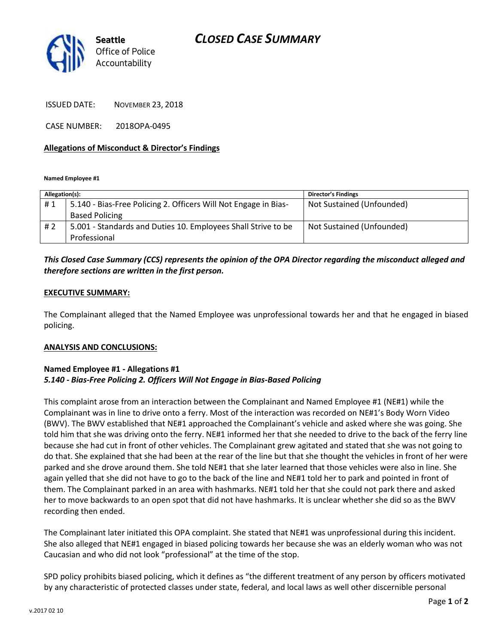

ISSUED DATE: NOVEMBER 23, 2018

CASE NUMBER: 2018OPA-0495

#### **Allegations of Misconduct & Director's Findings**

**Named Employee #1**

| Allegation(s): |                                                                 | <b>Director's Findings</b> |
|----------------|-----------------------------------------------------------------|----------------------------|
| #1             | 5.140 - Bias-Free Policing 2. Officers Will Not Engage in Bias- | Not Sustained (Unfounded)  |
|                | <b>Based Policing</b>                                           |                            |
| # 2            | 5.001 - Standards and Duties 10. Employees Shall Strive to be   | Not Sustained (Unfounded)  |
|                | Professional                                                    |                            |

## *This Closed Case Summary (CCS) represents the opinion of the OPA Director regarding the misconduct alleged and therefore sections are written in the first person.*

#### **EXECUTIVE SUMMARY:**

The Complainant alleged that the Named Employee was unprofessional towards her and that he engaged in biased policing.

#### **ANALYSIS AND CONCLUSIONS:**

#### **Named Employee #1 - Allegations #1** *5.140 - Bias-Free Policing 2. Officers Will Not Engage in Bias-Based Policing*

This complaint arose from an interaction between the Complainant and Named Employee #1 (NE#1) while the Complainant was in line to drive onto a ferry. Most of the interaction was recorded on NE#1's Body Worn Video (BWV). The BWV established that NE#1 approached the Complainant's vehicle and asked where she was going. She told him that she was driving onto the ferry. NE#1 informed her that she needed to drive to the back of the ferry line because she had cut in front of other vehicles. The Complainant grew agitated and stated that she was not going to do that. She explained that she had been at the rear of the line but that she thought the vehicles in front of her were parked and she drove around them. She told NE#1 that she later learned that those vehicles were also in line. She again yelled that she did not have to go to the back of the line and NE#1 told her to park and pointed in front of them. The Complainant parked in an area with hashmarks. NE#1 told her that she could not park there and asked her to move backwards to an open spot that did not have hashmarks. It is unclear whether she did so as the BWV recording then ended.

The Complainant later initiated this OPA complaint. She stated that NE#1 was unprofessional during this incident. She also alleged that NE#1 engaged in biased policing towards her because she was an elderly woman who was not Caucasian and who did not look "professional" at the time of the stop.

SPD policy prohibits biased policing, which it defines as "the different treatment of any person by officers motivated by any characteristic of protected classes under state, federal, and local laws as well other discernible personal